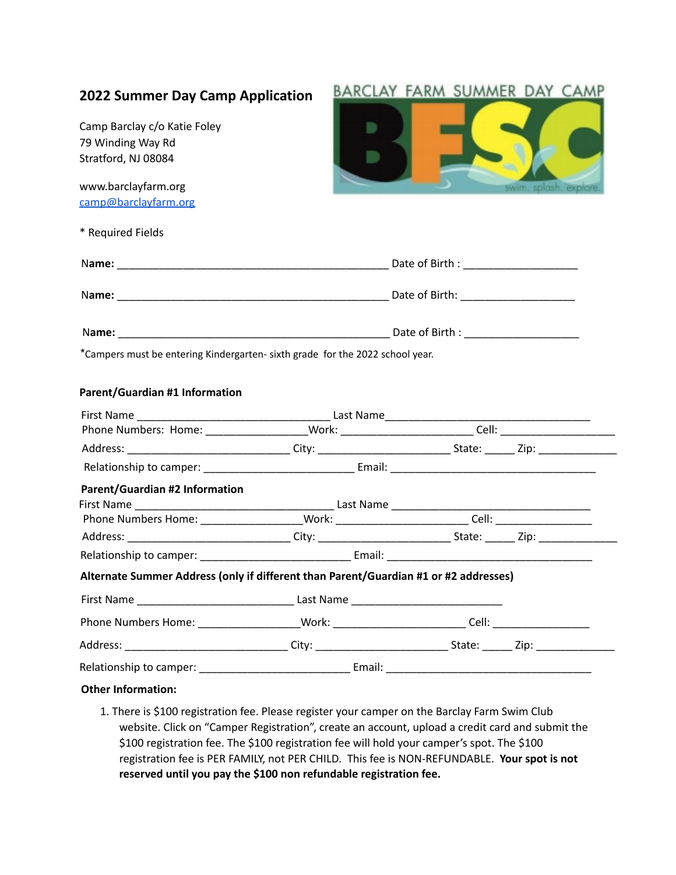| splash, exp<br>*Campers must be entering Kindergarten- sixth grade for the 2022 school year.<br>Parent/Guardian #2 Information<br>Phone Numbers Home: _____________________Work: __________________________Cell: _____________________                                                             | <b>2022 Summer Day Camp Application</b>                                  | BARCLAY FARM SUMMER DAY CAMP |
|----------------------------------------------------------------------------------------------------------------------------------------------------------------------------------------------------------------------------------------------------------------------------------------------------|--------------------------------------------------------------------------|------------------------------|
| www.barclayfarm.org<br>camp@barclayfarm.org<br>* Required Fields<br>Parent/Guardian #1 Information<br>Alternate Summer Address (only if different than Parent/Guardian #1 or #2 addresses)<br>Phone Numbers Home: ____________________Work: __________________________Cell: ______________________ | Camp Barclay c/o Katie Foley<br>79 Winding Way Rd<br>Stratford, NJ 08084 |                              |
|                                                                                                                                                                                                                                                                                                    |                                                                          |                              |
|                                                                                                                                                                                                                                                                                                    |                                                                          |                              |
|                                                                                                                                                                                                                                                                                                    |                                                                          |                              |
|                                                                                                                                                                                                                                                                                                    |                                                                          |                              |
|                                                                                                                                                                                                                                                                                                    |                                                                          |                              |
|                                                                                                                                                                                                                                                                                                    |                                                                          |                              |
|                                                                                                                                                                                                                                                                                                    |                                                                          |                              |
|                                                                                                                                                                                                                                                                                                    |                                                                          |                              |
|                                                                                                                                                                                                                                                                                                    |                                                                          |                              |
|                                                                                                                                                                                                                                                                                                    |                                                                          |                              |
|                                                                                                                                                                                                                                                                                                    |                                                                          |                              |
|                                                                                                                                                                                                                                                                                                    |                                                                          |                              |
|                                                                                                                                                                                                                                                                                                    |                                                                          |                              |
|                                                                                                                                                                                                                                                                                                    |                                                                          |                              |
|                                                                                                                                                                                                                                                                                                    |                                                                          |                              |
|                                                                                                                                                                                                                                                                                                    |                                                                          |                              |
|                                                                                                                                                                                                                                                                                                    |                                                                          |                              |
|                                                                                                                                                                                                                                                                                                    |                                                                          |                              |
|                                                                                                                                                                                                                                                                                                    |                                                                          |                              |
|                                                                                                                                                                                                                                                                                                    |                                                                          |                              |
|                                                                                                                                                                                                                                                                                                    |                                                                          |                              |
| <b>Other Information:</b>                                                                                                                                                                                                                                                                          |                                                                          |                              |

1. There is \$100 registration fee. Please register your camper on the Barclay Farm Swim Club website. Click on "Camper Registration", create an account, upload a credit card and submit the \$100 registration fee. The \$100 registration fee will hold your camper's spot. The \$100 registration fee is PER FAMILY, not PER CHILD. This fee is NON-REFUNDABLE. **Your spot is not reserved until you pay the \$100 non refundable registration fee.**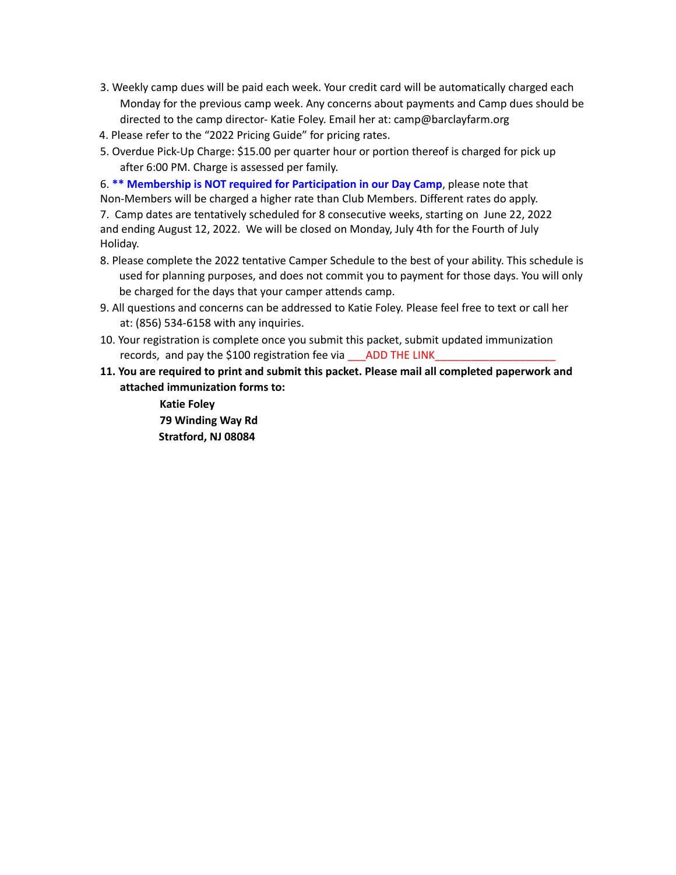- 3. Weekly camp dues will be paid each week. Your credit card will be automatically charged each Monday for the previous camp week. Any concerns about payments and Camp dues should be directed to the camp director- Katie Foley. Email her at: camp@barclayfarm.org
- 4. Please refer to the "2022 Pricing Guide" for pricing rates.
- 5. Overdue Pick-Up Charge: \$15.00 per quarter hour or portion thereof is charged for pick up after 6:00 PM. Charge is assessed per family.

6. **\*\* Membership is NOT required for Participation in our Day Camp**, please note that Non-Members will be charged a higher rate than Club Members. Different rates do apply.

7. Camp dates are tentatively scheduled for 8 consecutive weeks, starting on June 22, 2022 and ending August 12, 2022. We will be closed on Monday, July 4th for the Fourth of July Holiday.

- 8. Please complete the 2022 tentative Camper Schedule to the best of your ability. This schedule is used for planning purposes, and does not commit you to payment for those days. You will only be charged for the days that your camper attends camp.
- 9. All questions and concerns can be addressed to Katie Foley. Please feel free to text or call her at: (856) 534-6158 with any inquiries.
- 10. Your registration is complete once you submit this packet, submit updated immunization records, and pay the \$100 registration fee via \_\_\_\_ADD THE LINK\_
- **11. You are required to print and submit this packet. Please mail all completed paperwork and attached immunization forms to:**
	- **Katie Foley 79 Winding Way Rd Stratford, NJ 08084**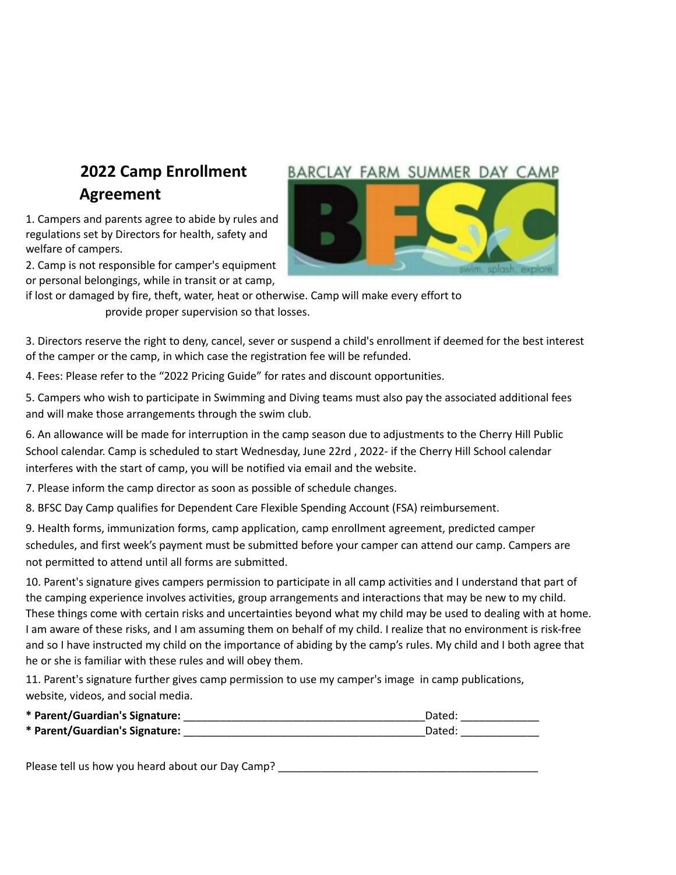### **2022 Camp Enrollment Agreement**

1. Campers and parents agree to abide by rules and regulations set by Directors for health, safety and welfare of campers.

2. Camp is not responsible for camper's equipment or personal belongings, while in transit or at camp,



if lost or damaged by fire, theft, water, heat or otherwise. Camp will make every effort to provide proper supervision so that losses.

3. Directors reserve the right to deny, cancel, sever or suspend a child's enrollment if deemed for the best interest of the camper or the camp, in which case the registration fee will be refunded.

4. Fees: Please refer to the "2022 Pricing Guide" for rates and discount opportunities.

5. Campers who wish to participate in Swimming and Diving teams must also pay the associated additional fees and will make those arrangements through the swim club.

6. An allowance will be made for interruption in the camp season due to adjustments to the Cherry Hill Public School calendar. Camp is scheduled to start Wednesday, June 22rd , 2022- if the Cherry Hill School calendar interferes with the start of camp, you will be notified via email and the website.

7. Please inform the camp director as soon as possible of schedule changes.

8. BFSC Day Camp qualifies for Dependent Care Flexible Spending Account (FSA) reimbursement.

9. Health forms, immunization forms, camp application, camp enrollment agreement, predicted camper schedules, and first week's payment must be submitted before your camper can attend our camp. Campers are not permitted to attend until all forms are submitted.

10. Parent's signature gives campers permission to participate in all camp activities and I understand that part of the camping experience involves activities, group arrangements and interactions that may be new to my child. These things come with certain risks and uncertainties beyond what my child may be used to dealing with at home. I am aware of these risks, and I am assuming them on behalf of my child. I realize that no environment is risk-free and so I have instructed my child on the importance of abiding by the camp's rules. My child and I both agree that he or she is familiar with these rules and will obey them.

11. Parent's signature further gives camp permission to use my camper's image in camp publications, website, videos, and social media.

| * Parent/Guardian's Signature: | Dated: |  |
|--------------------------------|--------|--|
| * Parent/Guardian's Signature: | Dated: |  |

Please tell us how you heard about our Day Camp?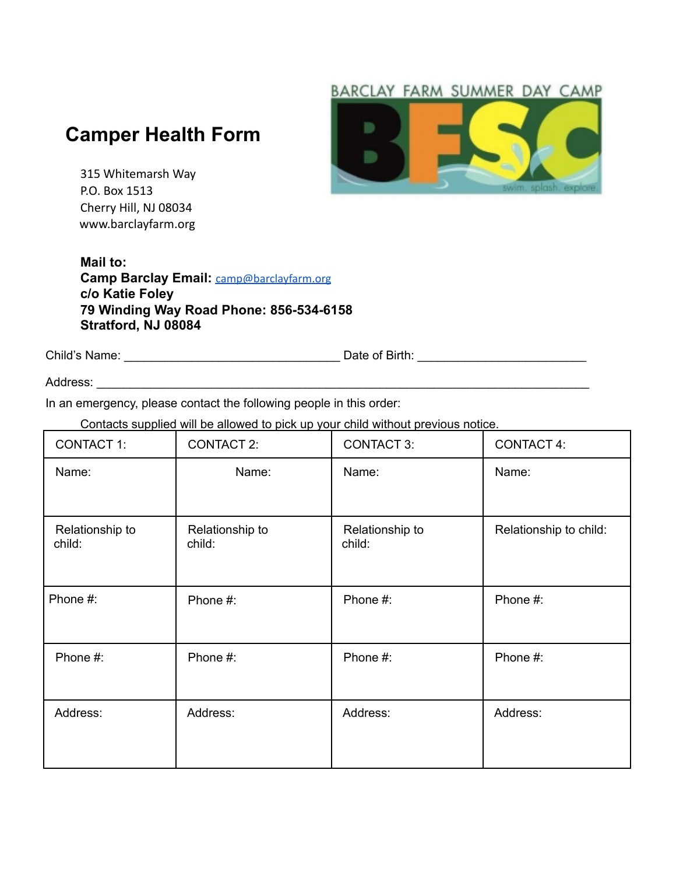#### BARCLAY FARM SUMMER DAY CAMP

### **Camper Health Form**

315 Whitemarsh Way P.O. Box 1513 Cherry Hill, NJ 08034 www.barclayfarm.org

#### **Mail to: Camp Barclay Email:** camp@barclayfarm.org **c/o Katie Foley 79 Winding Way Road Phone: 856-534-6158 Stratford, NJ 08084**

Child's Name: \_\_\_\_\_\_\_\_\_\_\_\_\_\_\_\_\_\_\_\_\_\_\_\_\_\_\_\_\_\_\_\_ Date of Birth: \_\_\_\_\_\_\_\_\_\_\_\_\_\_\_\_\_\_\_\_\_\_\_\_\_

Address: \_\_\_\_\_\_\_\_\_\_\_\_\_\_\_\_\_\_\_\_\_\_\_\_\_\_\_\_\_\_\_\_\_\_\_\_\_\_\_\_\_\_\_\_\_\_\_\_\_\_\_\_\_\_\_\_\_\_\_\_\_\_\_\_\_\_\_\_\_\_\_\_\_

In an emergency, please contact the following people in this order:

Contacts supplied will be allowed to pick up your child without previous notice.

| <b>CONTACT 1:</b>         | <b>CONTACT 2:</b>         | <b>CONTACT 3:</b>         | <b>CONTACT 4:</b>      |
|---------------------------|---------------------------|---------------------------|------------------------|
| Name:                     | Name:                     | Name:                     | Name:                  |
| Relationship to<br>child: | Relationship to<br>child: | Relationship to<br>child: | Relationship to child: |
| Phone #:                  | Phone #:                  | Phone #:                  | Phone #:               |
| Phone #:                  | Phone #:                  | Phone #:                  | Phone #:               |
| Address:                  | Address:                  | Address:                  | Address:               |

D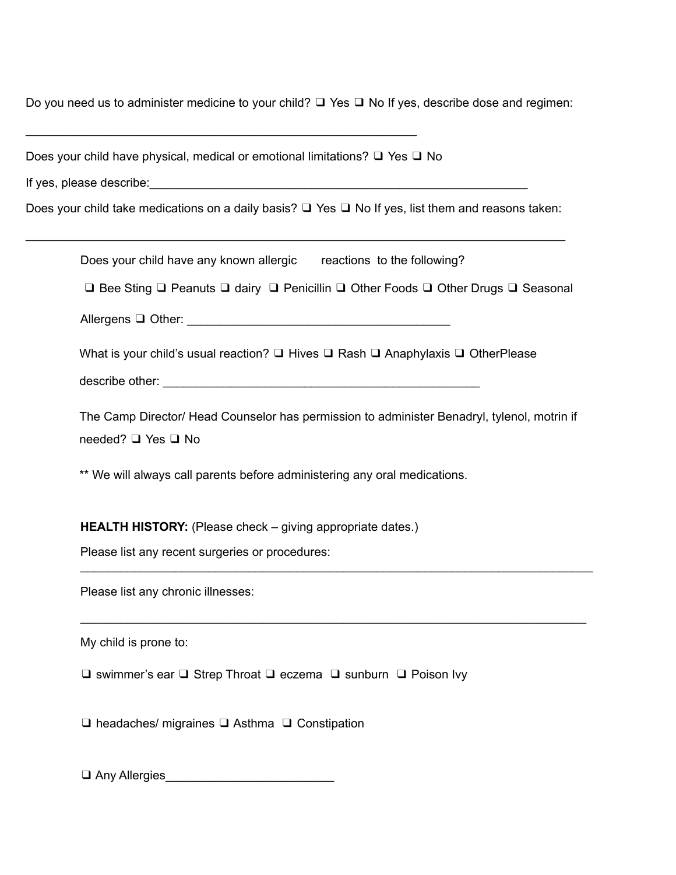Do you need us to administer medicine to your child? ❑ Yes ❑ No If yes, describe dose and regimen:

\_\_\_\_\_\_\_\_\_\_\_\_\_\_\_\_\_\_\_\_\_\_\_\_\_\_\_\_\_\_\_\_\_\_\_\_\_\_\_\_\_\_\_\_\_\_\_\_\_\_\_\_\_\_\_\_\_\_

Does your child have physical, medical or emotional limitations? ❑ Yes ❑ No

If yes, please describe: which is a set of the set of the set of the set of the set of the set of the set of the set of the set of the set of the set of the set of the set of the set of the set of the set of the set of the

Does your child take medications on a daily basis? ❑ Yes ❑ No If yes, list them and reasons taken:

| Does your child have any known allergic reactions to the following?                                                                                                                                                                  |
|--------------------------------------------------------------------------------------------------------------------------------------------------------------------------------------------------------------------------------------|
| □ Bee Sting □ Peanuts □ dairy □ Penicillin □ Other Foods □ Other Drugs □ Seasonal                                                                                                                                                    |
|                                                                                                                                                                                                                                      |
| What is your child's usual reaction? $\Box$ Hives $\Box$ Rash $\Box$ Anaphylaxis $\Box$ OtherPlease                                                                                                                                  |
|                                                                                                                                                                                                                                      |
| The Camp Director/ Head Counselor has permission to administer Benadryl, tylenol, motrin if<br>needed? □ Yes □ No                                                                                                                    |
| ** We will always call parents before administering any oral medications.                                                                                                                                                            |
| <b>HEALTH HISTORY:</b> (Please check – giving appropriate dates.)<br>Please list any recent surgeries or procedures:                                                                                                                 |
| Please list any chronic illnesses:                                                                                                                                                                                                   |
| My child is prone to:                                                                                                                                                                                                                |
| $\Box$ swimmer's ear $\Box$ Strep Throat $\Box$ eczema $\Box$ sunburn $\Box$ Poison Ivy                                                                                                                                              |
| $\Box$ headaches/ migraines $\Box$ Asthma $\Box$ Constipation                                                                                                                                                                        |
| Any Allergies <b>Contract Contract Contract Contract Contract Contract Contract Contract Contract Contract Contract Contract Contract Contract Contract Contract Contract Contract Contract Contract Contract Contract Contract </b> |
|                                                                                                                                                                                                                                      |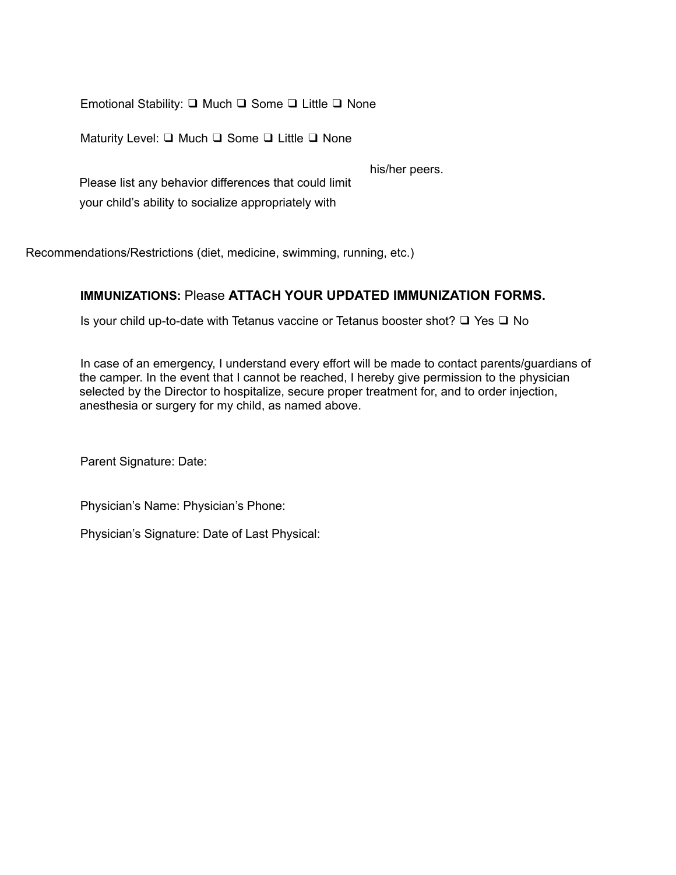Emotional Stability: ❑ Much ❑ Some ❑ Little ❑ None

Maturity Level: ❑ Much ❑ Some ❑ Little ❑ None

his/her peers.

Please list any behavior differences that could limit your child's ability to socialize appropriately with

Recommendations/Restrictions (diet, medicine, swimming, running, etc.)

#### **IMMUNIZATIONS:** Please **ATTACH YOUR UPDATED IMMUNIZATION FORMS.**

Is your child up-to-date with Tetanus vaccine or Tetanus booster shot? ❑ Yes ❑ No

In case of an emergency, I understand every effort will be made to contact parents/guardians of the camper. In the event that I cannot be reached, I hereby give permission to the physician selected by the Director to hospitalize, secure proper treatment for, and to order injection, anesthesia or surgery for my child, as named above.

Parent Signature: Date:

Physician's Name: Physician's Phone:

Physician's Signature: Date of Last Physical: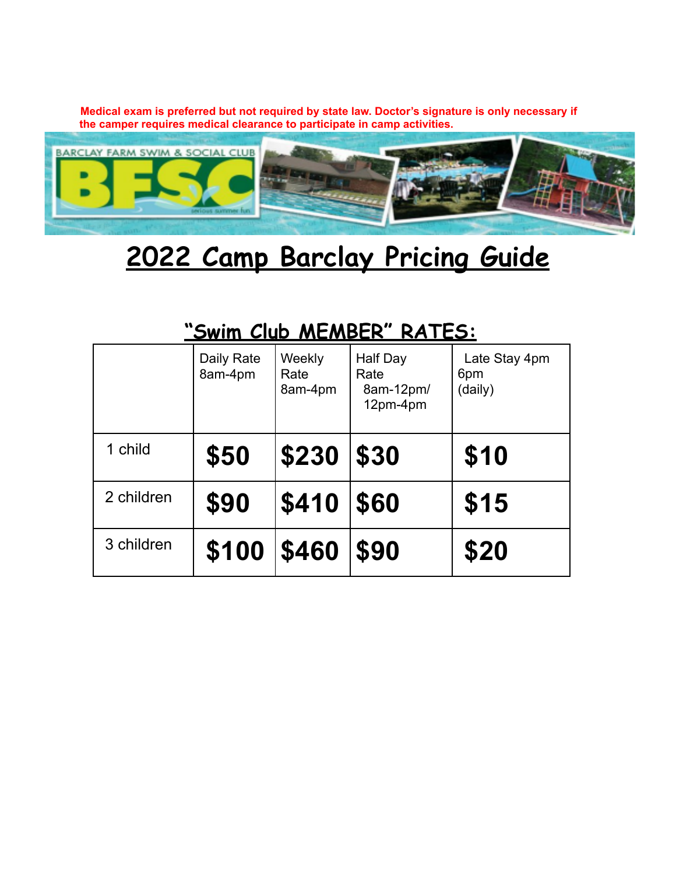**Medical exam is preferred but not required by state law. Doctor's signature is only necessary if the camper requires medical clearance to participate in camp activities.**



# **2022 Camp Barclay Pricing Guide**

# **"Swim Club MEMBER" RATES:**

|            | Daily Rate<br>8am-4pm | Weekly<br>Rate<br>8am-4pm | Half Day<br>Rate<br>8am-12pm/<br>12pm-4pm | Late Stay 4pm<br>6pm<br>(daily) |
|------------|-----------------------|---------------------------|-------------------------------------------|---------------------------------|
| 1 child    | \$50                  | \$230                     | \$30                                      | \$10                            |
| 2 children | \$90                  | \$410                     | \$60                                      | \$15                            |
| 3 children | \$100                 | \$460                     | \$90                                      | \$20                            |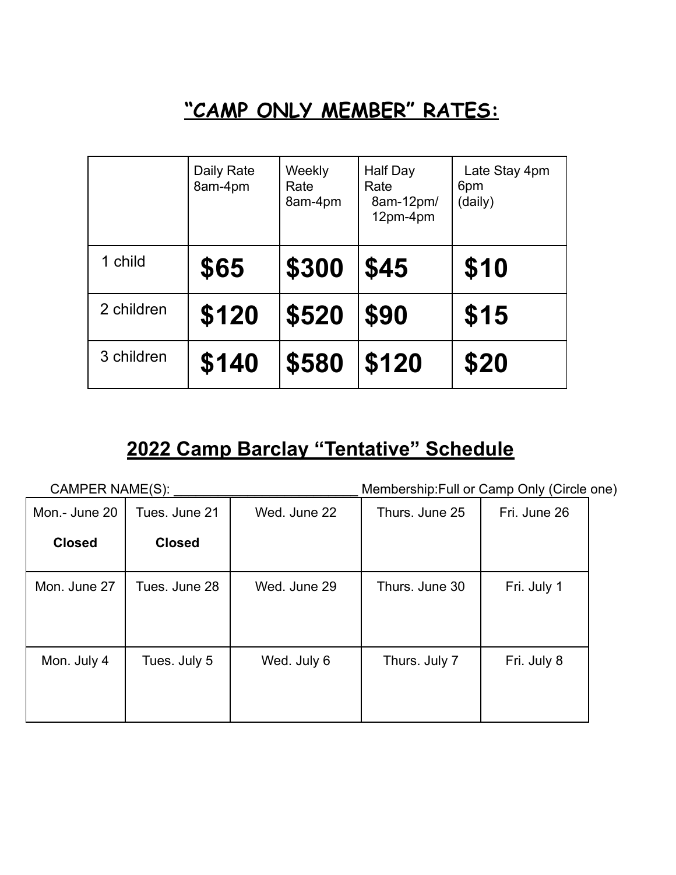## **"CAMP ONLY MEMBER" RATES:**

|            | Daily Rate<br>8am-4pm | Weekly<br>Rate<br>8am-4pm | Half Day<br>Rate<br>8am-12pm/<br>12pm-4pm | Late Stay 4pm<br>6pm<br>(daily) |
|------------|-----------------------|---------------------------|-------------------------------------------|---------------------------------|
| 1 child    | \$65                  | \$300                     | \$45                                      | \$10                            |
| 2 children | \$120                 | \$520                     | \$90                                      | \$15                            |
| 3 children | \$140                 | \$580                     | \$120                                     | \$20                            |

### **2022 Camp Barclay "Tentative" Schedule**

| Membership: Full or Camp Only (Circle one)<br>CAMPER NAME(S): |               |              |                |              |  |
|---------------------------------------------------------------|---------------|--------------|----------------|--------------|--|
| Mon.- June 20                                                 | Tues. June 21 | Wed. June 22 | Thurs. June 25 | Fri. June 26 |  |
| <b>Closed</b>                                                 | <b>Closed</b> |              |                |              |  |
| Mon. June 27                                                  | Tues, June 28 | Wed. June 29 | Thurs, June 30 | Fri. July 1  |  |
| Mon. July 4                                                   | Tues. July 5  | Wed. July 6  | Thurs. July 7  | Fri. July 8  |  |